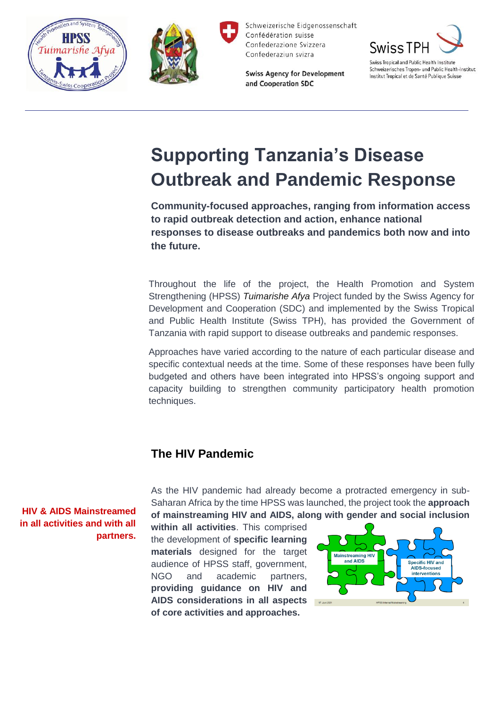



and Cooperation SDC

**Swiss Agency for Development** 



Schweizerisches Tropen- und Public Health-Institut Institut Tropical et de Santé Publique Suisse

# **Supporting Tanzania's Disease Outbreak and Pandemic Response**

**Community-focused approaches, ranging from information access to rapid outbreak detection and action, enhance national responses to disease outbreaks and pandemics both now and into the future.**

Throughout the life of the project, the Health Promotion and System Strengthening (HPSS) *Tuimarishe Afya* Project funded by the Swiss Agency for Development and Cooperation (SDC) and implemented by the Swiss Tropical and Public Health Institute (Swiss TPH), has provided the Government of Tanzania with rapid support to disease outbreaks and pandemic responses.

Approaches have varied according to the nature of each particular disease and specific contextual needs at the time. Some of these responses have been fully budgeted and others have been integrated into HPSS's ongoing support and capacity building to strengthen community participatory health promotion techniques.

## **The HIV Pandemic**

As the HIV pandemic had already become a protracted emergency in sub-Saharan Africa by the time HPSS was launched, the project took the **approach of mainstreaming HIV and AIDS, along with gender and social inclusion** 

**within all activities**. This comprised the development of **specific learning materials** designed for the target audience of HPSS staff, government, NGO and academic partners, **providing guidance on HIV and AIDS considerations in all aspects of core activities and approaches.**



**HIV & AIDS Mainstreamed in all activities and with all partners.**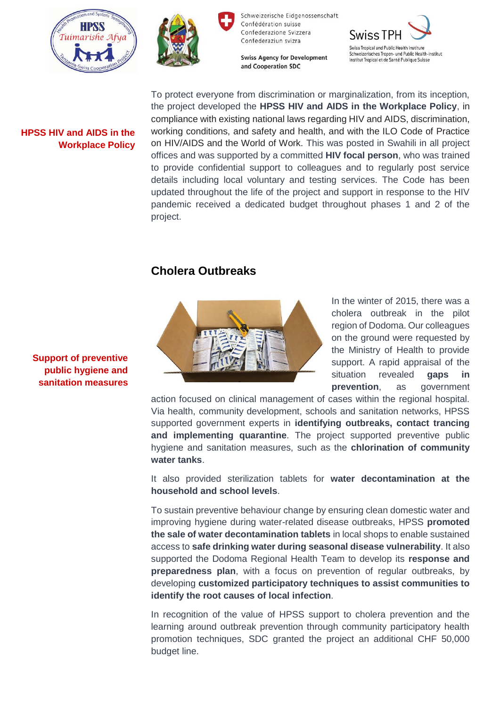



**Swiss Agency for Development** and Cooperation SDC



**HPSS HIV and AIDS in the Workplace Policy**

To protect everyone from discrimination or marginalization, from its inception, the project developed the **HPSS HIV and AIDS in the Workplace Policy**, in compliance with existing national laws regarding HIV and AIDS, discrimination, working conditions, and safety and health, and with the ILO Code of Practice on HIV/AIDS and the World of Work. This was posted in Swahili in all project offices and was supported by a committed **HIV focal person**, who was trained to provide confidential support to colleagues and to regularly post service details including local voluntary and testing services. The Code has been updated throughout the life of the project and support in response to the HIV pandemic received a dedicated budget throughout phases 1 and 2 of the project.

## **Cholera Outbreaks**



In the winter of 2015, there was a cholera outbreak in the pilot region of Dodoma. Our colleagues on the ground were requested by the Ministry of Health to provide support. A rapid appraisal of the situation revealed **gaps in prevention**, as government

action focused on clinical management of cases within the regional hospital. Via health, community development, schools and sanitation networks, HPSS supported government experts in **identifying outbreaks, contact trancing and implementing quarantine**. The project supported preventive public hygiene and sanitation measures, such as the **chlorination of community water tanks**.

It also provided sterilization tablets for **water decontamination at the household and school levels**.

To sustain preventive behaviour change by ensuring clean domestic water and improving hygiene during water-related disease outbreaks, HPSS **promoted the sale of water decontamination tablets** in local shops to enable sustained access to **safe drinking water during seasonal disease vulnerability**. It also supported the Dodoma Regional Health Team to develop its **response and preparedness plan**, with a focus on prevention of regular outbreaks, by developing **customized participatory techniques to assist communities to identify the root causes of local infection**.

In recognition of the value of HPSS support to cholera prevention and the learning around outbreak prevention through community participatory health promotion techniques, SDC granted the project an additional CHF 50,000 budget line.

**Support of preventive public hygiene and sanitation measures**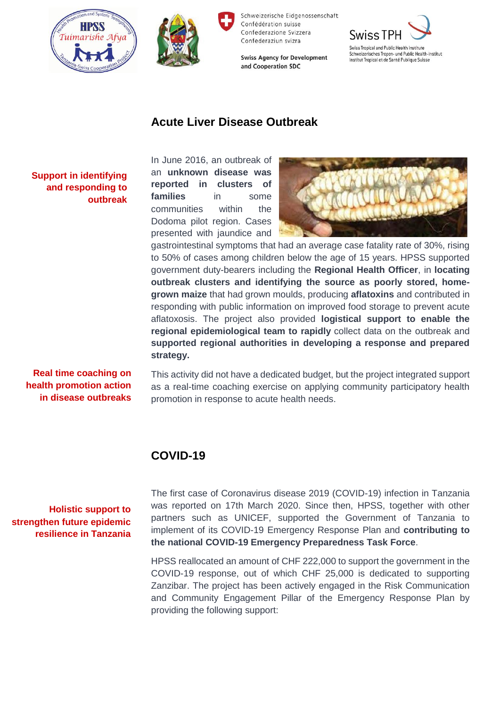



**Swiss Agency for Development** and Cooperation SDC



## **Acute Liver Disease Outbreak**

**Support in identifying and responding to outbreak** 

In June 2016, an outbreak of an **unknown disease was reported in clusters of families** in some communities within the Dodoma pilot region. Cases presented with jaundice and



gastrointestinal symptoms that had an average case fatality rate of 30%, rising to 50% of cases among children below the age of 15 years. HPSS supported government duty-bearers including the **Regional Health Officer**, in **locating outbreak clusters and identifying the source as poorly stored, homegrown maize** that had grown moulds, producing **aflatoxins** and contributed in responding with public information on improved food storage to prevent acute aflatoxosis. The project also provided **logistical support to enable the regional epidemiological team to rapidly** collect data on the outbreak and **supported regional authorities in developing a response and prepared strategy.**

**Real time coaching on health promotion action in disease outbreaks**

This activity did not have a dedicated budget, but the project integrated support as a real-time coaching exercise on applying community participatory health promotion in response to acute health needs.

## **COVID-19**

**Holistic support to strengthen future epidemic resilience in Tanzania**

The first case of Coronavirus disease 2019 (COVID-19) infection in Tanzania was reported on 17th March 2020. Since then, HPSS, together with other partners such as UNICEF, supported the Government of Tanzania to implement of its COVID-19 Emergency Response Plan and **contributing to the national COVID-19 Emergency Preparedness Task Force**.

HPSS reallocated an amount of CHF 222,000 to support the government in the COVID-19 response, out of which CHF 25,000 is dedicated to supporting Zanzibar. The project has been actively engaged in the Risk Communication and Community Engagement Pillar of the Emergency Response Plan by providing the following support: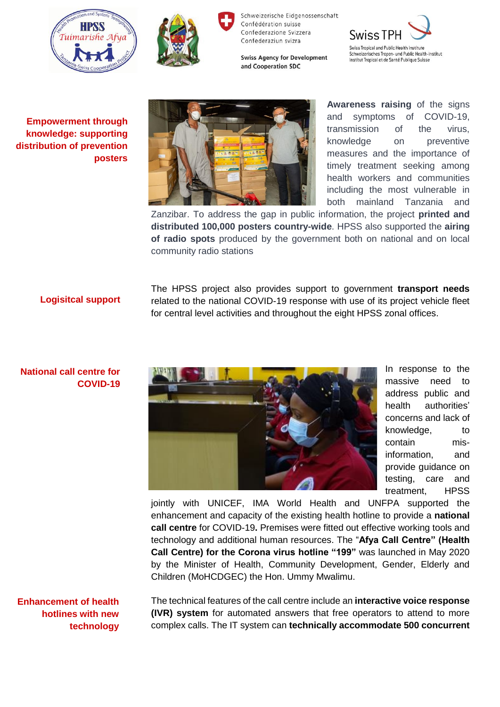







**Empowerment through knowledge: supporting distribution of prevention posters** 



**Awareness raising** of the signs and symptoms of COVID-19, transmission of the virus, knowledge on preventive measures and the importance of timely treatment seeking among health workers and communities including the most vulnerable in both mainland Tanzania and

Zanzibar. To address the gap in public information, the project **printed and distributed 100,000 posters country-wide**. HPSS also supported the **airing of radio spots** produced by the government both on national and on local community radio stations

#### **Logisitcal support**

The HPSS project also provides support to government **transport needs** related to the national COVID-19 response with use of its project vehicle fleet for central level activities and throughout the eight HPSS zonal offices.

#### **National call centre for COVID-19**



In response to the massive need to address public and health authorities' concerns and lack of knowledge, to contain misinformation, and provide guidance on testing, care and treatment, HPSS

jointly with UNICEF, IMA World Health and UNFPA supported the enhancement and capacity of the existing health hotline to provide a **national call centre** for COVID-19**.** Premises were fitted out effective working tools and technology and additional human resources. The "**Afya Call Centre" (Health Call Centre) for the Corona virus hotline "199"** was launched in May 2020 by the Minister of Health, Community Development, Gender, Elderly and Children (MoHCDGEC) the Hon. Ummy Mwalimu.

**Enhancement of health hotlines with new technology** The technical features of the call centre include an **interactive voice response (IVR) system** for automated answers that free operators to attend to more complex calls. The IT system can **technically accommodate 500 concurrent**